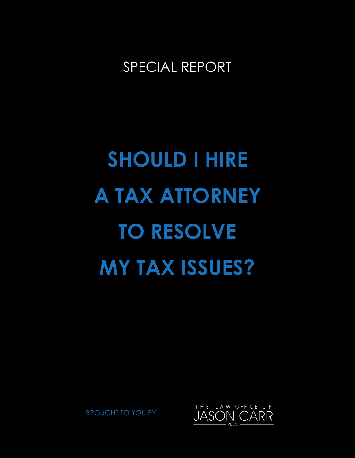# SPECIAL REPORT

# **SHOULD I HIRE A TAX ATTORNEY TO RESOLVE MY TAX ISSUES?**



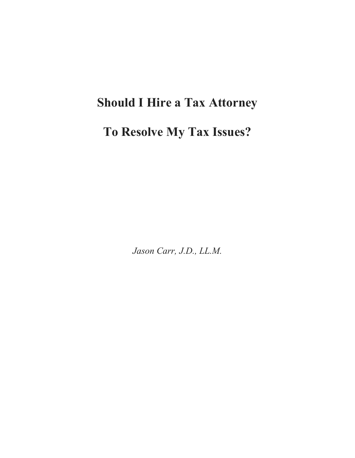# **Should I Hire a Tax Attorney**

## **To Resolve My Tax Issues?**

*Jason Carr, J.D., LL.M.*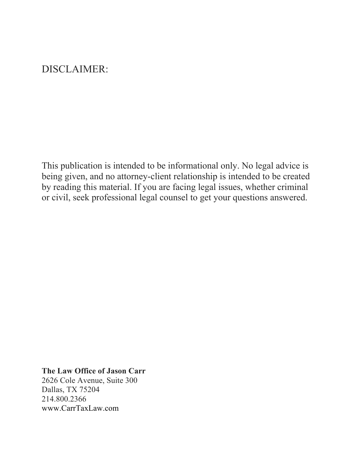## DISCLAIMER:

This publication is intended to be informational only. No legal advice is being given, and no attorney-client relationship is intended to be created by reading this material. If you are facing legal issues, whether criminal or civil, seek professional legal counsel to get your questions answered.

#### **The Law Office of Jason Carr**

2626 Cole Avenue, Suite 300 Dallas, TX 75204 214.800.2366 www.CarrTaxLaw.com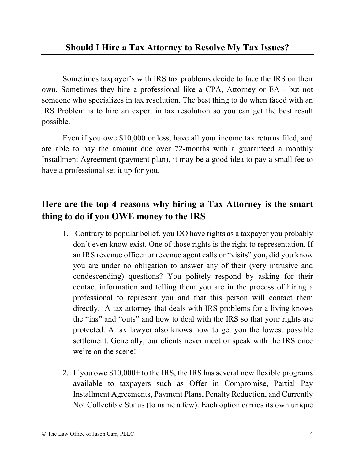Sometimes taxpayer's with IRS tax problems decide to face the IRS on their own. Sometimes they hire a professional like a CPA, Attorney or EA - but not someone who specializes in tax resolution. The best thing to do when faced with an IRS Problem is to hire an expert in tax resolution so you can get the best result possible.

Even if you owe \$10,000 or less, have all your income tax returns filed, and are able to pay the amount due over 72-months with a guaranteed a monthly Installment Agreement (payment plan), it may be a good idea to pay a small fee to have a professional set it up for you.

## **Here are the top 4 reasons why hiring a Tax Attorney is the smart thing to do if you OWE money to the IRS**

- 1. Contrary to popular belief, you DO have rights as a taxpayer you probably don't even know exist. One of those rights is the right to representation. If an IRS revenue officer or revenue agent calls or "visits" you, did you know you are under no obligation to answer any of their (very intrusive and condescending) questions? You politely respond by asking for their contact information and telling them you are in the process of hiring a professional to represent you and that this person will contact them directly. A tax attorney that deals with IRS problems for a living knows the "ins" and "outs" and how to deal with the IRS so that your rights are protected. A tax lawyer also knows how to get you the lowest possible settlement. Generally, our clients never meet or speak with the IRS once we're on the scene!
- 2. If you owe \$10,000+ to the IRS, the IRS has several new flexible programs available to taxpayers such as Offer in Compromise, Partial Pay Installment Agreements, Payment Plans, Penalty Reduction, and Currently Not Collectible Status (to name a few). Each option carries its own unique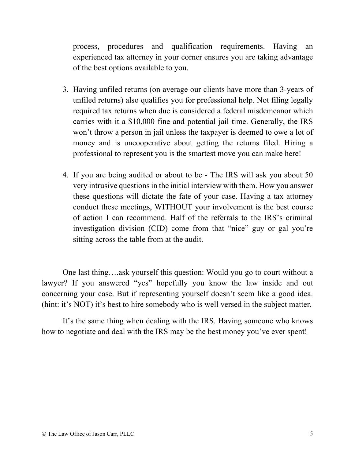process, procedures and qualification requirements. Having an experienced tax attorney in your corner ensures you are taking advantage of the best options available to you.

- 3. Having unfiled returns (on average our clients have more than 3-years of unfiled returns) also qualifies you for professional help. Not filing legally required tax returns when due is considered a federal misdemeanor which carries with it a \$10,000 fine and potential jail time. Generally, the IRS won't throw a person in jail unless the taxpayer is deemed to owe a lot of money and is uncooperative about getting the returns filed. Hiring a professional to represent you is the smartest move you can make here!
- 4. If you are being audited or about to be The IRS will ask you about 50 very intrusive questions in the initial interview with them. How you answer these questions will dictate the fate of your case. Having a tax attorney conduct these meetings, WITHOUT your involvement is the best course of action I can recommend. Half of the referrals to the IRS's criminal investigation division (CID) come from that "nice" guy or gal you're sitting across the table from at the audit.

One last thing….ask yourself this question: Would you go to court without a lawyer? If you answered "yes" hopefully you know the law inside and out concerning your case. But if representing yourself doesn't seem like a good idea. (hint: it's NOT) it's best to hire somebody who is well versed in the subject matter.

It's the same thing when dealing with the IRS. Having someone who knows how to negotiate and deal with the IRS may be the best money you've ever spent!